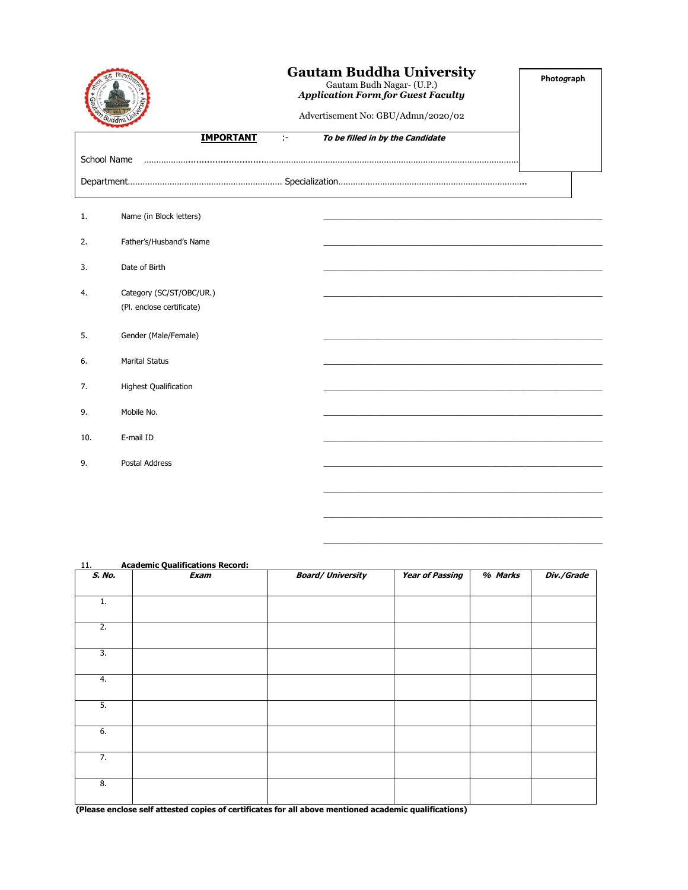|                                    |                                                       | <b>Gautam Buddha University</b><br>Gautam Budh Nagar- (U.P.)<br><b>Application Form for Guest Faculty</b><br>Advertisement No: GBU/Admn/2020/02 |                                  | Photograph |
|------------------------------------|-------------------------------------------------------|-------------------------------------------------------------------------------------------------------------------------------------------------|----------------------------------|------------|
|                                    | <b>IMPORTANT</b>                                      | ÷.                                                                                                                                              | To be filled in by the Candidate |            |
| School Name                        |                                                       |                                                                                                                                                 |                                  |            |
|                                    |                                                       |                                                                                                                                                 |                                  |            |
| 1.                                 | Name (in Block letters)                               |                                                                                                                                                 |                                  |            |
| 2.                                 | Father's/Husband's Name                               |                                                                                                                                                 |                                  |            |
| Date of Birth<br>3.                |                                                       |                                                                                                                                                 |                                  |            |
| 4.                                 | Category (SC/ST/OBC/UR.)<br>(Pl. enclose certificate) |                                                                                                                                                 |                                  |            |
| 5.                                 | Gender (Male/Female)                                  |                                                                                                                                                 |                                  |            |
| <b>Marital Status</b><br>6.        |                                                       |                                                                                                                                                 |                                  |            |
| <b>Highest Qualification</b><br>7. |                                                       |                                                                                                                                                 |                                  |            |
| Mobile No.<br>9.                   |                                                       |                                                                                                                                                 |                                  |            |
| E-mail ID<br>10.                   |                                                       |                                                                                                                                                 |                                  |            |
| <b>Postal Address</b><br>9.        |                                                       |                                                                                                                                                 |                                  |            |
|                                    |                                                       |                                                                                                                                                 |                                  |            |

| 11.    | <b>Academic Qualifications Record:</b>                                                              |                          |                        |         |            |
|--------|-----------------------------------------------------------------------------------------------------|--------------------------|------------------------|---------|------------|
| S. No. | Exam                                                                                                | <b>Board/ University</b> | <b>Year of Passing</b> | % Marks | Div./Grade |
|        |                                                                                                     |                          |                        |         |            |
| 1.     |                                                                                                     |                          |                        |         |            |
|        |                                                                                                     |                          |                        |         |            |
| 2.     |                                                                                                     |                          |                        |         |            |
|        |                                                                                                     |                          |                        |         |            |
| 3.     |                                                                                                     |                          |                        |         |            |
|        |                                                                                                     |                          |                        |         |            |
| 4.     |                                                                                                     |                          |                        |         |            |
|        |                                                                                                     |                          |                        |         |            |
| 5.     |                                                                                                     |                          |                        |         |            |
|        |                                                                                                     |                          |                        |         |            |
| 6.     |                                                                                                     |                          |                        |         |            |
|        |                                                                                                     |                          |                        |         |            |
| 7.     |                                                                                                     |                          |                        |         |            |
|        |                                                                                                     |                          |                        |         |            |
| 8.     |                                                                                                     |                          |                        |         |            |
|        |                                                                                                     |                          |                        |         |            |
|        | (Dispos cualese alfattorial conjos of contificatos fou all abous montional condomis qualifications) |                          |                        |         |            |

 $\mathcal{L}_\mathcal{L} = \{ \mathcal{L}_\mathcal{L} = \{ \mathcal{L}_\mathcal{L} = \{ \mathcal{L}_\mathcal{L} = \{ \mathcal{L}_\mathcal{L} = \{ \mathcal{L}_\mathcal{L} = \{ \mathcal{L}_\mathcal{L} = \{ \mathcal{L}_\mathcal{L} = \{ \mathcal{L}_\mathcal{L} = \{ \mathcal{L}_\mathcal{L} = \{ \mathcal{L}_\mathcal{L} = \{ \mathcal{L}_\mathcal{L} = \{ \mathcal{L}_\mathcal{L} = \{ \mathcal{L}_\mathcal{L} = \{ \mathcal{L}_\mathcal{$ 

 $\mathcal{L}_\mathcal{L} = \{ \mathcal{L}_\mathcal{L} = \{ \mathcal{L}_\mathcal{L} = \{ \mathcal{L}_\mathcal{L} = \{ \mathcal{L}_\mathcal{L} = \{ \mathcal{L}_\mathcal{L} = \{ \mathcal{L}_\mathcal{L} = \{ \mathcal{L}_\mathcal{L} = \{ \mathcal{L}_\mathcal{L} = \{ \mathcal{L}_\mathcal{L} = \{ \mathcal{L}_\mathcal{L} = \{ \mathcal{L}_\mathcal{L} = \{ \mathcal{L}_\mathcal{L} = \{ \mathcal{L}_\mathcal{L} = \{ \mathcal{L}_\mathcal{$ 

11. **Academic Qualifications Record:**

**(Please enclose self attested copies of certificates for all above mentioned academic qualifications)**